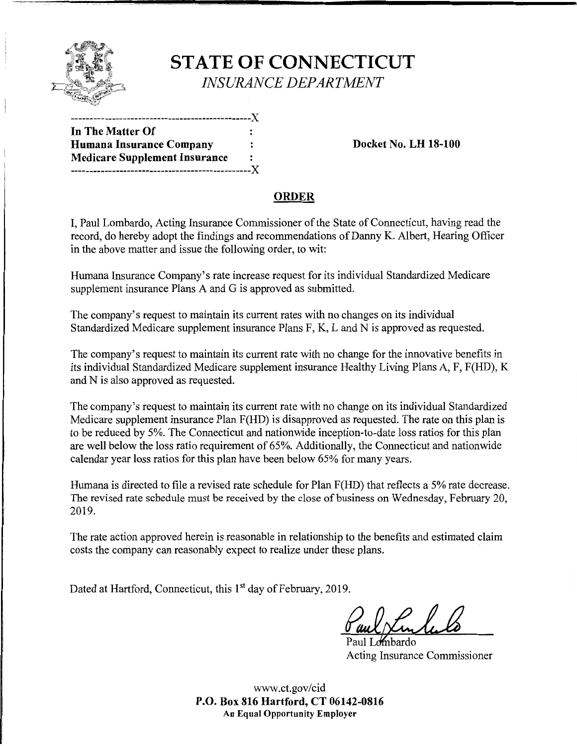

# **STATE OF CONNECTICUT**  *INSURANCE DEPARTMENT*

| In The Matter Of                     |                |
|--------------------------------------|----------------|
| Humana Insurance Company             |                |
| <b>Medicare Supplement Insurance</b> | $\ddot{\cdot}$ |
| ------------------------------X      |                |

**Docket No. LH 18-100** 

## **ORDER**

I, Paul Lombardo, Acting Insurance Commissioner of the State of Connecticut, having read the record, do hereby adopt the findings and recommendations of Danny K. Albert, Hearing Officer in the above matter and issue the following order, to wit:

Humana Insurance Company's rate increase request for its individual Standardized Medicare supplement insurance Plans A and G is approved as submitted.

The company's request to maintain its current rates with no changes on its individual Standardized Medicare supplement insurance Plans F, K, L and N is approved as requested.

The company's request to maintain its current rate with no change for the innovative benefits in its individual Standardized Medicare supplement insurance Healthy Living Plans A, F, F(HD), K and N is also approved as requested.

The company's request to maintain its current rate with no change on its individual Standardized Medicare supplement insurance Plan F(HD) is disapproved as requested. The rate on this plan is to be reduced by 5%. The Connecticut and nationwide inception-to-date loss ratios for this plan are well below the loss ratio requirement of 65%. Additionally, the Connecticut and nationwide calendar year loss ratios for this plan have been below 65% for many years.

Humana is directed to file a revised rate schedule for Plan F(HD) that reflects a 5% rate decrease. The revised rate schedule must be received by the close of business on Wednesday, February 20, 2019.

The rate action approved herein is reasonable in relationship to the benefits and estimated claim costs the company can reasonably expect to realize under these plans.

Dated at Hartford, Connecticut, this 1<sup>st</sup> day of February, 2019.

Paul Lombardo Acting Insurance Commissioner

www.ct.gov/cid **P.O. Box 816 Hartford, CT 06142-0816 An Equal Opportunity Employer**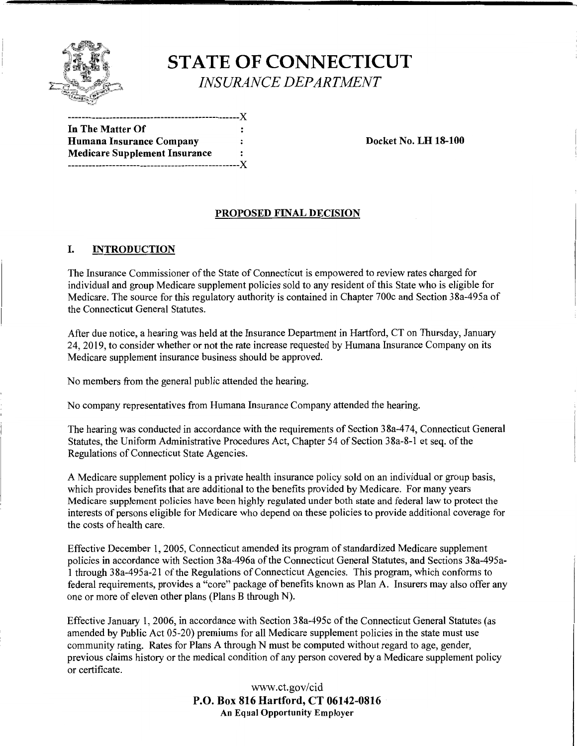

## **STATE OF CONNECTICUT**  *INSURANCE DEPARTMENT*

**In The Matter Of Humana Insurance Company 1986 Company Example 2 Constant Docket No. LH 18-100 Medicare Supplement Insurance**  --------------------------------------------------)(

--------------------------------------------------)(

#### **PROPOSED FINAL DECISION**

### I. **INTRODUCTION**

The Insurance Commissioner of the State of Connecticut is empowered to review rates charged for individual and group Medicare supplement policies sold to any resident of this State who is eligible for Medicare. The source for this regulatory authority is contained in Chapter 700c and Section 38a-495a of the Connecticut General Statutes.

After due notice, a hearing was held at the Insurance Department in Hartford, CT on Thursday, January 24, 2019, to consider whether or not the rate increase requested by Humana Insurance Company on its Medicare supplement insurance business should be approved.

No members from the general public attended the hearing.

No company representatives from Humana Insurance Company attended the hearing.

The hearing was conducted in accordance with the requirements of Section 38a-474, Connecticut General Statutes, the Uniform Administrative Procedures Act, Chapter 54 of Section 38a-8-1 et seq. of the Regulations of Connecticut State Agencies.

A Medicare supplement policy is a private health insurance policy sold on an individual or group basis, which provides benefits that are additional to the benefits provided by Medicare. For many years Medicare supplement policies have been highly regulated under both state and federal law to protect the interests of persons eligible for Medicare who depend on these policies to provide additional coverage for the costs of health care.

Effective December 1, 2005, Connecticut amended its program of standardized Medicare supplement policies in accordance with Section 38a-496a of the Connecticut General Statutes, and Sections 38a-495a-1 through 38a-495a-21 ofthe Regulations of Connecticut Agencies. This program, which conforms to federal requirements, provides a "core" package of benefits known as Plan A. Insurers may also offer any one or more of eleven other plans (Plans B through N).

Effective January 1, 2006, in accordance with Section 38a-495c of the Connecticut General Statutes (as amended by Public Act 05-20) premiums for all Medicare supplement policies in the state must use community rating. Rates for Plans A through N must be computed without regard to age, gender, previous claims history or the medical condition of any person covered by a Medicare supplement policy or certificate.

> www.ct.gov/cid **P.O. Box 816 Hartford, CT 06142-0816 An Equal Opportunity Employer**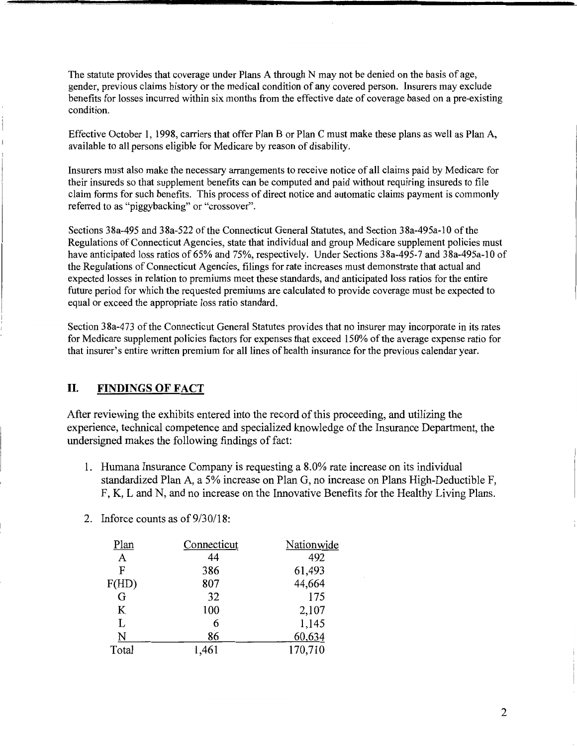The statute provides that coverage under Plans A through N may not be denied on the basis of age, gender, previous claims history or the medical condition of any covered person. Insurers may exclude benefits for losses incurred within six months from the effective date of coverage based on a pre-existing condition.

Effective October 1, 1998, carriers that offer Plan B or Plan C must make these plans as well as Plan A, available to all persons eligible for Medicare by reason of disability.

Insurers must also make the necessary arrangements to receive notice of all claims paid by Medicare for their insureds so that supplement benefits can be computed and paid without requiring insureds to file claim forms for such benefits. This process of direct notice and automatic claims payment is commonly referred to as "piggybacking" or "crossover".

Sections 38a-495 and 38a-522 of the Connecticut General Statutes, and Section 38a-495a-10 of the Regulations of Connecticut Agencies, state that individual and group Medicare supplement policies must have anticipated loss ratios of 65% and 75%, respectively. Under Sections 38a-495-7 and 38a-495a-10 of the Regulations of Connecticut Agencies, filings for rate increases must demonstrate that actual and expected losses in relation to premiums meet these standards, and anticipated loss ratios for the entire future period for which the requested premiums are calculated to provide coverage must be expected to equal or exceed the appropriate loss ratio standard.

Section 38a-473 of the Connecticut General Statutes provides that no insurer may incorporate in its rates for Medicare supplement policies factors for expenses that exceed 150% of the average expense ratio for that insurer's entire written premium for all lines of health insurance for the previous calendar year.

## **II. FINDINGS OF FACT**

After reviewing the exhibits entered into the record of this proceeding, and utilizing the experience, technical competence and specialized knowledge of the Insurance Department, the undersigned makes the following findings of fact:

- 1. Humana Insurance Company is requesting a 8.0% rate increase on its individual standardized Plan A, a 5% increase on Plan G, no increase on Plans High-Deductible F, F, K, Land N, and no increase on the Innovative Benefits for the Healthy Living Plans.
- 2. Inforce counts as of 9/30/18:

| Connecticut | Nationwide |
|-------------|------------|
| 44          | 492        |
| 386         | 61,493     |
| 807         | 44,664     |
| 32          | 175        |
| 100         | 2,107      |
| 6           | 1,145      |
| 86          | 60,634     |
| 1,461       | 170,710    |
|             |            |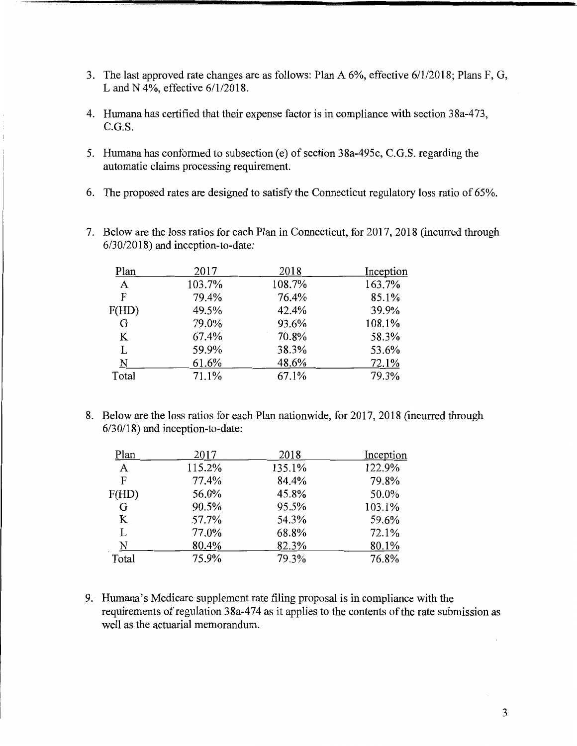- 3. The last approved rate changes are as follows: Plan A 6%, effective 6/1/2018; Plans F, G, Land N 4%, effective 6/1/2018.
- 4. Humana has certified that their expense factor is in compliance with section 38a-473, C.G.S.
- 5. Humana has conformed to subsection (e) of section 38a-495c, C.G.S. regarding the automatic claims processing requirement.
- 6. The proposed rates are designed to satisfy the Connecticut regulatory loss ratio of 65%.
- 7. Below are the loss ratios for each Plan in Connecticut, for 2017, 2018 (incurred through 6/30/2018) and inception-to-date:

| Plan  | 2017   | 2018   | Inception |
|-------|--------|--------|-----------|
| A     | 103.7% | 108.7% | 163.7%    |
| F     | 79.4%  | 76.4%  | 85.1%     |
| F(HD) | 49.5%  | 42.4%  | 39.9%     |
| G     | 79.0%  | 93.6%  | 108.1%    |
| K     | 67.4%  | 70.8%  | 58.3%     |
| L     | 59.9%  | 38.3%  | 53.6%     |
| N     | 61.6%  | 48.6%  | 72.1%     |
| Total | 71.1%  | 67.1%  | 79.3%     |

8. Below are the loss ratios for each Plan nationwide, for 2017, 2018 (incurred through 6/30/18) and inception-to-date:

| Plan  | 2017   | 2018   | Inception |
|-------|--------|--------|-----------|
| A     | 115.2% | 135.1% | 122.9%    |
| F     | 77.4%  | 84.4%  | 79.8%     |
| F(HD) | 56.0%  | 45.8%  | 50.0%     |
| G     | 90.5%  | 95.5%  | 103.1%    |
| K     | 57.7%  | 54.3%  | 59.6%     |
| L     | 77.0%  | 68.8%  | 72.1%     |
| N     | 80.4%  | 82.3%  | 80.1%     |
| Total | 75.9%  | 79.3%  | 76.8%     |

9. Humana's Medicare supplement rate filing proposal is in compliance with the requirements of regulation 38a-474 as it applies to the contents of the rate submission as well as the actuarial memorandum.